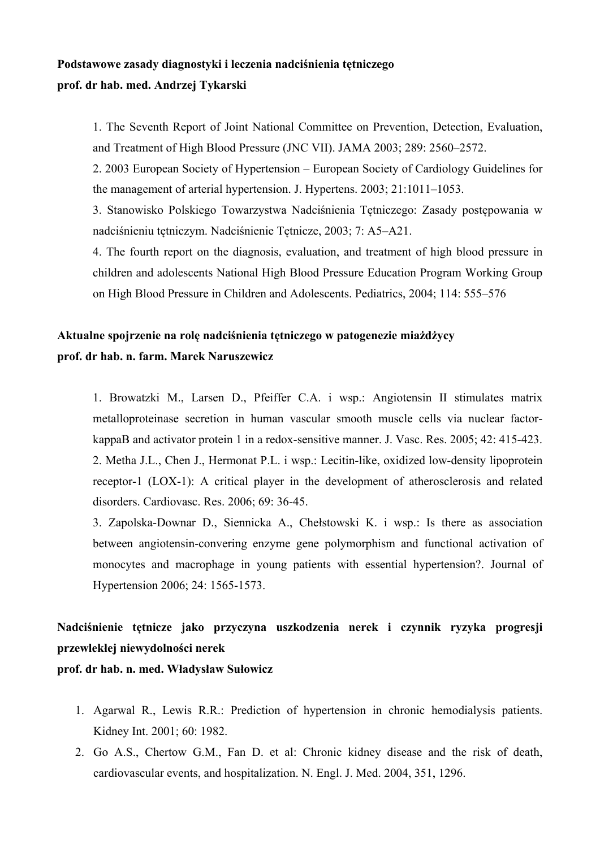## **Podstawowe zasady diagnostyki i leczenia nadciśnienia tętniczego prof. dr hab. med. Andrzej Tykarski**

1. The Seventh Report of Joint National Committee on Prevention, Detection, Evaluation, and Treatment of High Blood Pressure (JNC VII). JAMA 2003; 289: 2560–2572.

2. 2003 European Society of Hypertension – European Society of Cardiology Guidelines for the management of arterial hypertension. J. Hypertens. 2003; 21:1011–1053.

3. Stanowisko Polskiego Towarzystwa Nadciśnienia Tętniczego: Zasady postępowania w nadciśnieniu tętniczym. Nadciśnienie Tętnicze, 2003; 7: A5–A21.

4. The fourth report on the diagnosis, evaluation, and treatment of high blood pressure in children and adolescents National High Blood Pressure Education Program Working Group on High Blood Pressure in Children and Adolescents. Pediatrics, 2004; 114: 555–576

## **Aktualne spojrzenie na rolę nadciśnienia tętniczego w patogenezie miażdżycy prof. dr hab. n. farm. Marek Naruszewicz**

1. Browatzki M., Larsen D., Pfeiffer C.A. i wsp.: Angiotensin II stimulates matrix metalloproteinase secretion in human vascular smooth muscle cells via nuclear factorkappaB and activator protein 1 in a redox-sensitive manner. J. Vasc. Res. 2005; 42: 415-423. 2. Metha J.L., Chen J., Hermonat P.L. i wsp.: Lecitin-like, oxidized low-density lipoprotein receptor-1 (LOX-1): A critical player in the development of atherosclerosis and related disorders. Cardiovasc. Res. 2006; 69: 36-45.

3. Zapolska-Downar D., Siennicka A., Chełstowski K. i wsp.: Is there as association between angiotensin-convering enzyme gene polymorphism and functional activation of monocytes and macrophage in young patients with essential hypertension?. Journal of Hypertension 2006; 24: 1565-1573.

# **Nadciśnienie tętnicze jako przyczyna uszkodzenia nerek i czynnik ryzyka progresji przewlekłej niewydolności nerek**

**prof. dr hab. n. med. Władysław Sułowicz** 

- 1. Agarwal R., Lewis R.R.: Prediction of hypertension in chronic hemodialysis patients. Kidney Int. 2001; 60: 1982.
- 2. Go A.S., Chertow G.M., Fan D. et al: Chronic kidney disease and the risk of death, cardiovascular events, and hospitalization. N. Engl. J. Med. 2004, 351, 1296.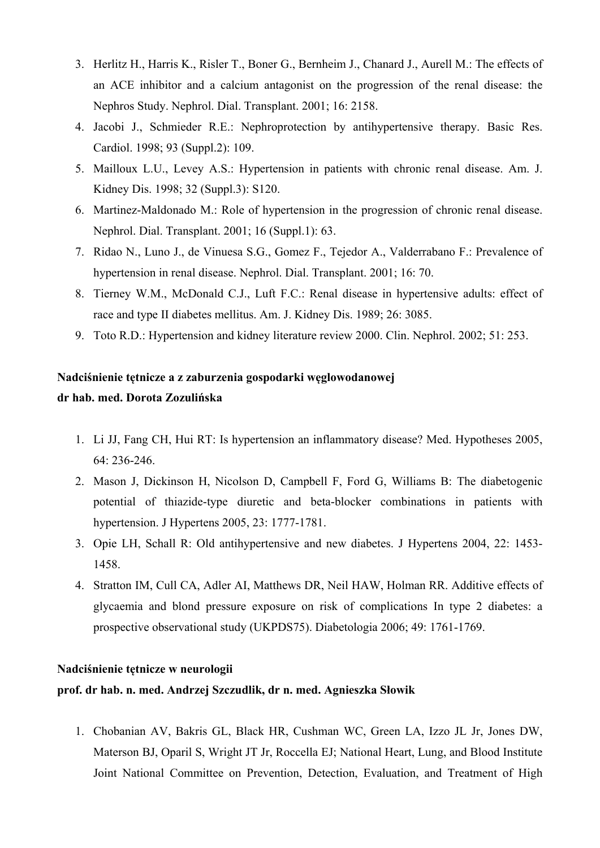- 3. Herlitz H., Harris K., Risler T., Boner G., Bernheim J., Chanard J., Aurell M.: The effects of an ACE inhibitor and a calcium antagonist on the progression of the renal disease: the Nephros Study. Nephrol. Dial. Transplant. 2001; 16: 2158.
- 4. Jacobi J., Schmieder R.E.: Nephroprotection by antihypertensive therapy. Basic Res. Cardiol. 1998; 93 (Suppl.2): 109.
- 5. Mailloux L.U., Levey A.S.: Hypertension in patients with chronic renal disease. Am. J. Kidney Dis. 1998; 32 (Suppl.3): S120.
- 6. Martinez-Maldonado M.: Role of hypertension in the progression of chronic renal disease. Nephrol. Dial. Transplant. 2001; 16 (Suppl.1): 63.
- 7. Ridao N., Luno J., de Vinuesa S.G., Gomez F., Tejedor A., Valderrabano F.: Prevalence of hypertension in renal disease. Nephrol. Dial. Transplant. 2001; 16:70.
- 8. Tierney W.M., McDonald C.J., Luft F.C.: Renal disease in hypertensive adults: effect of race and type II diabetes mellitus. Am. J. Kidney Dis. 1989; 26: 3085.
- 9. Toto R.D.: Hypertension and kidney literature review 2000. Clin. Nephrol. 2002; 51: 253.

## Nadciśnienie tętnicze a z zaburzenia gospodarki węglowodanowej dr hab. med. Dorota Zozulińska

- 1. Li JJ, Fang CH, Hui RT: Is hypertension an inflammatory disease? Med. Hypotheses 2005,  $64:236-246$ .
- 2. Mason J, Dickinson H, Nicolson D, Campbell F, Ford G, Williams B: The diabetogenic potential of thiazide-type diuretic and beta-blocker combinations in patients with hypertension. J Hypertens 2005, 23: 1777-1781.
- 3. Opie LH, Schall R: Old antihypertensive and new diabetes. J Hypertens 2004, 22: 1453-1458.
- 4. Stratton IM, Cull CA, Adler AI, Matthews DR, Neil HAW, Holman RR. Additive effects of glycaemia and blond pressure exposure on risk of complications In type 2 diabetes: a prospective observational study (UKPDS75). Diabetologia 2006; 49: 1761-1769.

#### Nadciśnienie tętnicze w neurologii

## prof. dr hab. n. med. Andrzej Szczudlik, dr n. med. Agnieszka Słowik

1. Chobanian AV, Bakris GL, Black HR, Cushman WC, Green LA, Izzo JL Jr, Jones DW, Materson BJ, Oparil S, Wright JT Jr, Roccella EJ; National Heart, Lung, and Blood Institute Joint National Committee on Prevention, Detection, Evaluation, and Treatment of High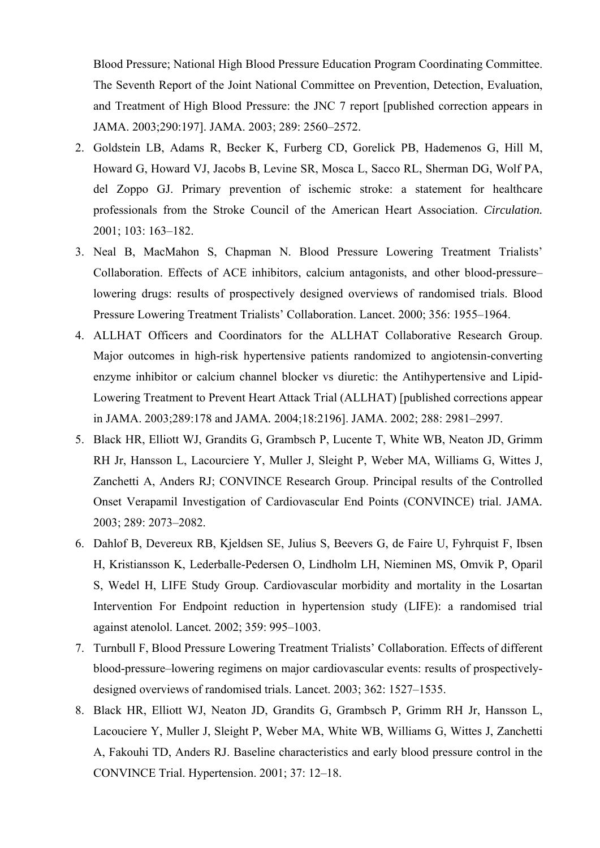Blood Pressure; National High Blood Pressure Education Program Coordinating Committee. The Seventh Report of the Joint National Committee on Prevention, Detection, Evaluation, and Treatment of High Blood Pressure: the JNC 7 report [published correction appears in JAMA. 2003;290:197]. JAMA. 2003; 289: 2560–2572.

- 2. Goldstein LB, Adams R, Becker K, Furberg CD, Gorelick PB, Hademenos G, Hill M, Howard G, Howard VJ, Jacobs B, Levine SR, Mosca L, Sacco RL, Sherman DG, Wolf PA, del Zoppo GJ. Primary prevention of ischemic stroke: a statement for healthcare professionals from the Stroke Council of the American Heart Association. *Circulation.*  2001; 103: 163–182.
- 3. Neal B, MacMahon S, Chapman N. Blood Pressure Lowering Treatment Trialists' Collaboration. Effects of ACE inhibitors, calcium antagonists, and other blood-pressure– lowering drugs: results of prospectively designed overviews of randomised trials. Blood Pressure Lowering Treatment Trialists' Collaboration. Lancet. 2000; 356: 1955–1964.
- 4. ALLHAT Officers and Coordinators for the ALLHAT Collaborative Research Group. Major outcomes in high-risk hypertensive patients randomized to angiotensin-converting enzyme inhibitor or calcium channel blocker vs diuretic: the Antihypertensive and Lipid-Lowering Treatment to Prevent Heart Attack Trial (ALLHAT) [published corrections appear in JAMA. 2003;289:178 and JAMA*.* 2004;18:2196]. JAMA. 2002; 288: 2981–2997.
- 5. Black HR, Elliott WJ, Grandits G, Grambsch P, Lucente T, White WB, Neaton JD, Grimm RH Jr, Hansson L, Lacourciere Y, Muller J, Sleight P, Weber MA, Williams G, Wittes J, Zanchetti A, Anders RJ; CONVINCE Research Group. Principal results of the Controlled Onset Verapamil Investigation of Cardiovascular End Points (CONVINCE) trial. JAMA*.*  2003; 289: 2073–2082.
- 6. Dahlof B, Devereux RB, Kjeldsen SE, Julius S, Beevers G, de Faire U, Fyhrquist F, Ibsen H, Kristiansson K, Lederballe-Pedersen O, Lindholm LH, Nieminen MS, Omvik P, Oparil S, Wedel H, LIFE Study Group. Cardiovascular morbidity and mortality in the Losartan Intervention For Endpoint reduction in hypertension study (LIFE): a randomised trial against atenolol. Lancet*.* 2002; 359: 995–1003.
- 7. Turnbull F, Blood Pressure Lowering Treatment Trialists' Collaboration. Effects of different blood-pressure–lowering regimens on major cardiovascular events: results of prospectivelydesigned overviews of randomised trials. Lancet. 2003; 362: 1527–1535.
- 8. Black HR, Elliott WJ, Neaton JD, Grandits G, Grambsch P, Grimm RH Jr, Hansson L, Lacouciere Y, Muller J, Sleight P, Weber MA, White WB, Williams G, Wittes J, Zanchetti A, Fakouhi TD, Anders RJ. Baseline characteristics and early blood pressure control in the CONVINCE Trial. Hypertension. 2001; 37: 12–18.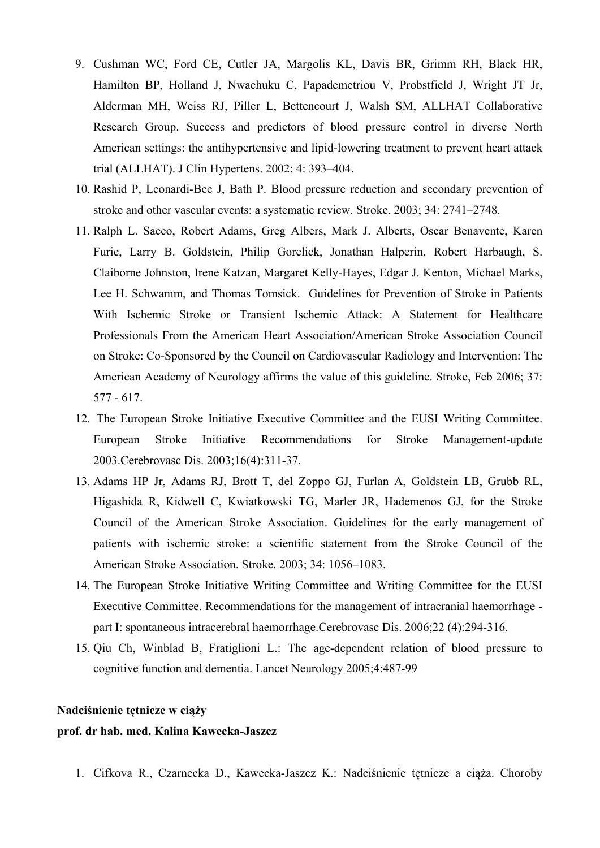- 9. Cushman WC, Ford CE, Cutler JA, Margolis KL, Davis BR, Grimm RH, Black HR, Hamilton BP, Holland J, Nwachuku C, Papademetriou V, Probstfield J, Wright JT Jr, Alderman MH, Weiss RJ, Piller L, Bettencourt J, Walsh SM, ALLHAT Collaborative Research Group. Success and predictors of blood pressure control in diverse North American settings: the antihypertensive and lipid-lowering treatment to prevent heart attack trial (ALLHAT). J Clin Hypertens. 2002; 4: 393–404.
- 10. Rashid P, Leonardi-Bee J, Bath P. Blood pressure reduction and secondary prevention of stroke and other vascular events: a systematic review. Stroke. 2003; 34: 2741–2748.
- 11. Ralph L. Sacco, Robert Adams, Greg Albers, Mark J. Alberts, Oscar Benavente, Karen Furie, Larry B. Goldstein, Philip Gorelick, Jonathan Halperin, Robert Harbaugh, S. Claiborne Johnston, Irene Katzan, Margaret Kelly-Hayes, Edgar J. Kenton, Michael Marks, Lee H. Schwamm, and Thomas Tomsick. Guidelines for Prevention of Stroke in Patients With Ischemic Stroke or Transient Ischemic Attack: A Statement for Healthcare Professionals From the American Heart Association/American Stroke Association Council on Stroke: Co-Sponsored by the Council on Cardiovascular Radiology and Intervention: The American Academy of Neurology affirms the value of this guideline. Stroke, Feb 2006; 37: 577 - 617.
- 12. The European Stroke Initiative Executive Committee and the EUSI Writing Committee. European Stroke Initiative Recommendations for Stroke Management-update 2003.Cerebrovasc Dis. 2003;16(4):311-37.
- 13. Adams HP Jr, Adams RJ, Brott T, del Zoppo GJ, Furlan A, Goldstein LB, Grubb RL, Higashida R, Kidwell C, Kwiatkowski TG, Marler JR, Hademenos GJ, for the Stroke Council of the American Stroke Association. Guidelines for the early management of patients with ischemic stroke: a scientific statement from the Stroke Council of the American Stroke Association. Stroke*.* 2003; 34: 1056–1083.
- 14. The European Stroke Initiative Writing Committee and Writing Committee for the EUSI Executive Committee. Recommendations for the management of intracranial haemorrhage part I: spontaneous intracerebral haemorrhage.Cerebrovasc Dis. 2006;22 (4):294-316.
- 15. Qiu Ch, Winblad B, Fratiglioni L.: The age-dependent relation of blood pressure to cognitive function and dementia. Lancet Neurology 2005;4:487-99

### **Nadciśnienie tętnicze w ciąży**

#### **prof. dr hab. med. Kalina Kawecka-Jaszcz**

1. Cifkova R., Czarnecka D., Kawecka-Jaszcz K.: Nadciśnienie tętnicze a ciąża. Choroby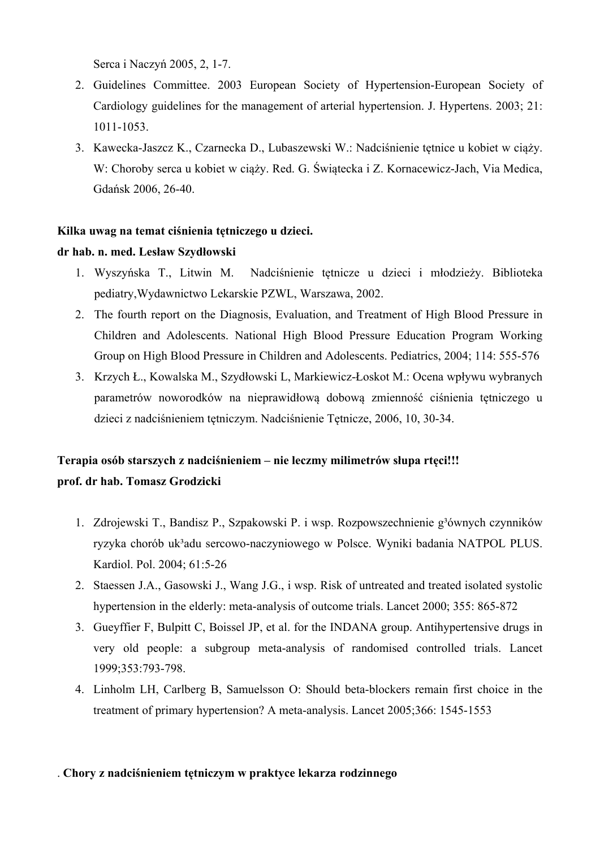Serca i Naczyń 2005, 2, 1-7.

- 2. Guidelines Committee. 2003 European Society of Hypertension-European Society of Cardiology guidelines for the management of arterial hypertension. J. Hypertens. 2003; 21: 1011-1053.
- 3. Kawecka-Jaszcz K., Czarnecka D., Lubaszewski W.: Nadciśnienie tętnice u kobiet w ciąży. W: Choroby serca u kobiet w ciąży. Red. G. Świątecka i Z. Kornacewicz-Jach, Via Medica, Gdańsk 2006, 26-40.

## **Kilka uwag na temat ciśnienia tętniczego u dzieci.**

### **dr hab. n. med. Lesław Szydłowski**

- 1. Wyszyńska T., Litwin M. Nadciśnienie tętnicze u dzieci i młodzieży. Biblioteka pediatry,Wydawnictwo Lekarskie PZWL, Warszawa, 2002.
- 2. The fourth report on the Diagnosis, Evaluation, and Treatment of High Blood Pressure in Children and Adolescents. National High Blood Pressure Education Program Working Group on High Blood Pressure in Children and Adolescents. Pediatrics, 2004; 114: 555-576
- 3. Krzych Ł., Kowalska M., Szydłowski L, Markiewicz-Łoskot M.: Ocena wpływu wybranych parametrów noworodków na nieprawidłową dobową zmienność ciśnienia tętniczego u dzieci z nadciśnieniem tętniczym. Nadciśnienie Tętnicze, 2006, 10, 30-34.

# **Terapia osób starszych z nadciśnieniem – nie leczmy milimetrów słupa rtęci!!! prof. dr hab. Tomasz Grodzicki**

- 1. Zdrojewski T., Bandisz P., Szpakowski P. i wsp. Rozpowszechnienie g<sup>3</sup>ównych czynników ryzyka chorób uk³adu sercowo-naczyniowego w Polsce. Wyniki badania NATPOL PLUS. Kardiol. Pol. 2004; 61:5-26
- 2. Staessen J.A., Gasowski J., Wang J.G., i wsp. Risk of untreated and treated isolated systolic hypertension in the elderly: meta-analysis of outcome trials. Lancet 2000; 355: 865-872
- 3. Gueyffier F, Bulpitt C, Boissel JP, et al. for the INDANA group. Antihypertensive drugs in very old people: a subgroup meta-analysis of randomised controlled trials. Lancet 1999;353:793-798.
- 4. Linholm LH, Carlberg B, Samuelsson O: Should beta-blockers remain first choice in the treatment of primary hypertension? A meta-analysis. Lancet 2005;366: 1545-1553

## . **Chory z nadciśnieniem tętniczym w praktyce lekarza rodzinnego**